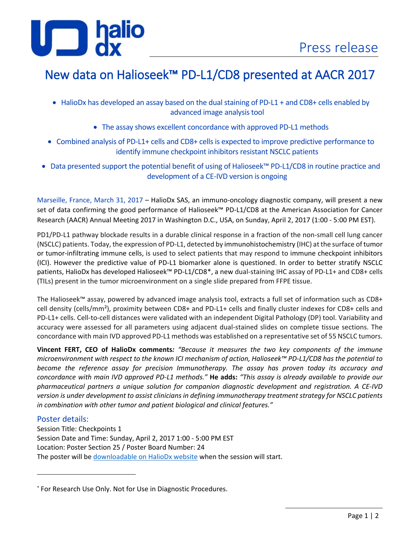# $J \Box$

## New data on Halioseek™ PD-L1/CD8 presented at AACR 2017

- HalioDx has developed an assay based on the dual staining of PD-L1 + and CD8+ cells enabled by advanced image analysis tool
	- The assay shows excellent concordance with approved PD-L1 methods
- Combined analysis of PD-L1+ cells and CD8+ cells is expected to improve predictive performance to identify immune checkpoint inhibitors resistant NSCLC patients
- Data presented support the potential benefit of using of Halioseek™ PD-L1/CD8 in routine practice and development of a CE-IVD version is ongoing

Marseille, France, March 31, 2017 – HalioDx SAS, an immuno-oncology diagnostic company, will present a new set of data confirming the good performance of Halioseek™ PD-L1/CD8 at the American Association for Cancer Research (AACR) Annual Meeting 2017 in Washington D.C., USA, on Sunday, April 2, 2017 (1:00 - 5:00 PM EST).

PD1/PD-L1 pathway blockade results in a durable clinical response in a fraction of the non-small cell lung cancer (NSCLC) patients. Today, the expression of PD-L1, detected by immunohistochemistry (IHC) at the surface of tumor or tumor-infiltrating immune cells, is used to select patients that may respond to immune checkpoint inhibitors (ICI). However the predictive value of PD-L1 biomarker alone is questioned. In order to better stratify NSCLC patients, HalioDx has developed Halioseek™ PD-L1/CD8[\\*](#page-0-0), a new dual-staining IHC assay of PD-L1+ and CD8+ cells (TILs) present in the tumor microenvironment on a single slide prepared from FFPE tissue.

The Halioseek™ assay, powered by advanced image analysis tool, extracts a full set of information such as CD8+ cell density (cells/mm²), proximity between CD8+ and PD-L1+ cells and finally cluster indexes for CD8+ cells and PD-L1+ cells. Cell-to-cell distances were validated with an independent Digital Pathology (DP) tool. Variability and accuracy were assessed for all parameters using adjacent dual-stained slides on complete tissue sections. The concordance with main IVD approved PD-L1 methods was established on a representative set of 55 NSCLC tumors.

**Vincent FERT, CEO of HalioDx comments***: "Because it measures the two key components of the immune microenvironment with respect to the known ICI mechanism of action, Halioseek™ PD-L1/CD8 has the potential to become the reference assay for precision Immunotherapy. The assay has proven today its accuracy and concordance with main IVD approved PD-L1 methods."* **He adds:** *"This assay is already available to provide our pharmaceutical partners a unique solution for companion diagnostic development and registration. A CE-IVD version is under development to assist clinicians in defining immunotherapy treatment strategy for NSCLC patients in combination with other tumor and patient biological and clinical features."*

### Poster details:

l

Session Title: Checkpoints 1 Session Date and Time: Sunday, April 2, 2017 1:00 - 5:00 PM EST Location: Poster Section 25 / Poster Board Number: 24 The poster will be [downloadable on HalioDx website](http://www.halioseek.com/download-center/) when the session will start.

<span id="page-0-0"></span><sup>\*</sup> For Research Use Only. Not for Use in Diagnostic Procedures.